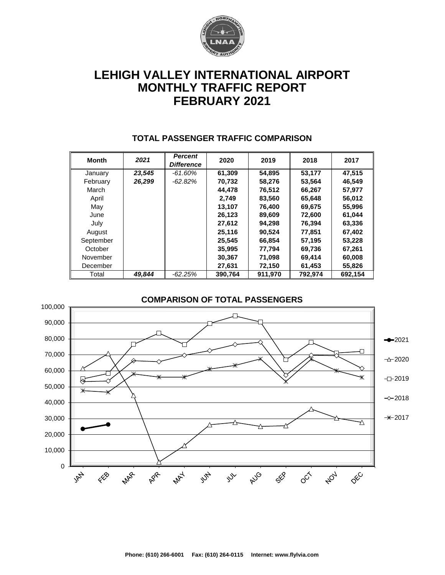

# **LEHIGH VALLEY INTERNATIONAL AIRPORT MONTHLY TRAFFIC REPORT FEBRUARY 2021**

| <b>Month</b> | 2021   | <b>Percent</b><br><b>Difference</b> | 2020    | 2019    | 2018    | 2017    |  |
|--------------|--------|-------------------------------------|---------|---------|---------|---------|--|
| January      | 23,545 | -61.60%                             | 61,309  | 54,895  | 53,177  | 47,515  |  |
| February     | 26,299 | $-62.82\%$                          | 70,732  | 58,276  | 53,564  | 46,549  |  |
| March        |        |                                     | 44,478  | 76,512  | 66,267  | 57,977  |  |
| April        |        |                                     | 2.749   | 83,560  | 65,648  | 56,012  |  |
| May          |        |                                     | 13,107  | 76,400  | 69,675  | 55,996  |  |
| June         |        |                                     | 26,123  | 89,609  | 72,600  | 61,044  |  |
| July         |        |                                     | 27,612  | 94,298  | 76,394  | 63,336  |  |
| August       |        |                                     | 25,116  | 90,524  | 77,851  | 67,402  |  |
| September    |        |                                     | 25.545  | 66,854  | 57,195  | 53,228  |  |
| October      |        |                                     | 35,995  | 77,794  | 69,736  | 67,261  |  |
| November     |        |                                     | 30,367  | 71,098  | 69,414  | 60,008  |  |
| December     |        |                                     | 27,631  | 72,150  | 61,453  | 55,826  |  |
| Total        | 49.844 | $-62.25%$                           | 390.764 | 911.970 | 792.974 | 692.154 |  |

### **TOTAL PASSENGER TRAFFIC COMPARISON**

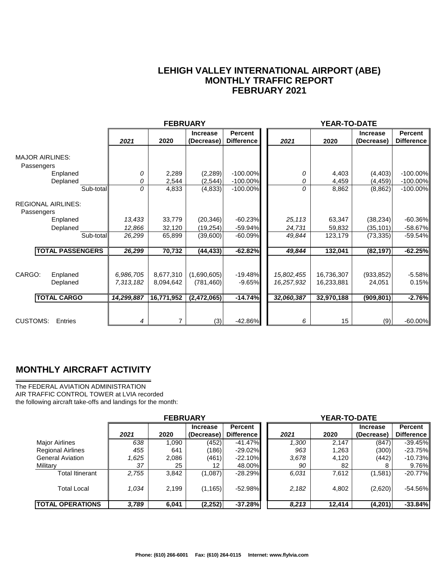### **LEHIGH VALLEY INTERNATIONAL AIRPORT (ABE) MONTHLY TRAFFIC REPORT FEBRUARY 2021**

|                                         |            | <b>FEBRUARY</b> |                 |                   |            | YEAR-TO-DATE |                 |                   |
|-----------------------------------------|------------|-----------------|-----------------|-------------------|------------|--------------|-----------------|-------------------|
|                                         |            |                 | <b>Increase</b> | <b>Percent</b>    |            |              | <b>Increase</b> | <b>Percent</b>    |
|                                         | 2021       | 2020            | (Decrease)      | <b>Difference</b> | 2021       | 2020         | (Decrease)      | <b>Difference</b> |
|                                         |            |                 |                 |                   |            |              |                 |                   |
| <b>MAJOR AIRLINES:</b>                  |            |                 |                 |                   |            |              |                 |                   |
| Passengers                              |            |                 |                 |                   |            |              |                 |                   |
| Enplaned                                | 0          | 2,289           | (2, 289)        | $-100.00\%$       | 0          | 4,403        | (4, 403)        | $-100.00\%$       |
| Deplaned                                | 0          | 2,544           | (2, 544)        | $-100.00\%$       | 0          | 4,459        | (4, 459)        | $-100.00\%$       |
| Sub-total                               | 0          | 4,833           | (4, 833)        | $-100.00\%$       | 0          | 8,862        | (8, 862)        | $-100.00\%$       |
| <b>REGIONAL AIRLINES:</b><br>Passengers |            |                 |                 |                   |            |              |                 |                   |
| Enplaned                                | 13,433     | 33,779          | (20, 346)       | $-60.23%$         | 25,113     | 63,347       | (38, 234)       | $-60.36\%$        |
| Deplaned                                | 12,866     | 32,120          | (19, 254)       | $-59.94%$         | 24,731     | 59,832       | (35, 101)       | $-58.67\%$        |
| Sub-total                               | 26,299     | 65,899          | (39,600)        | $-60.09%$         | 49,844     | 123,179      | (73, 335)       | $-59.54%$         |
| <b>TOTAL PASSENGERS</b>                 | 26,299     | 70,732          | (44, 433)       | $-62.82%$         | 49,844     | 132,041      | (82, 197)       | $-62.25%$         |
|                                         |            |                 |                 |                   |            |              |                 |                   |
| CARGO:<br>Enplaned                      | 6,986,705  | 8,677,310       | (1,690,605)     | $-19.48%$         | 15,802,455 | 16,736,307   | (933, 852)      | $-5.58%$          |
| Deplaned                                | 7,313,182  | 8,094,642       | (781, 460)      | $-9.65%$          | 16,257,932 | 16,233,881   | 24,051          | 0.15%             |
| <b>TOTAL CARGO</b>                      | 14,299,887 | 16,771,952      | (2,472,065)     | $-14.74%$         | 32,060,387 | 32,970,188   | (909, 801)      | $-2.76%$          |
|                                         |            |                 |                 |                   |            |              |                 |                   |
| <b>CUSTOMS:</b><br>Entries              | 4          | 7               | (3)             | -42.86%           | 6          | 15           | (9)             | $-60.00%$         |

### **MONTHLY AIRCRAFT ACTIVITY**

The FEDERAL AVIATION ADMINISTRATION AIR TRAFFIC CONTROL TOWER at LVIA recorded the following aircraft take-offs and landings for the month:

|                          | <b>FEBRUARY</b> |       |                 |                   | <b>YEAR-TO-DATE</b> |        |                 |                   |  |  |
|--------------------------|-----------------|-------|-----------------|-------------------|---------------------|--------|-----------------|-------------------|--|--|
|                          |                 |       | <b>Increase</b> | <b>Percent</b>    |                     |        | <b>Increase</b> | Percent           |  |  |
|                          | 2021            | 2020  | (Decrease)      | <b>Difference</b> | 2021                | 2020   | (Decrease)      | <b>Difference</b> |  |  |
| Major Airlines           | 638             | 1,090 | (452)           | $-41.47\%$        | 1,300               | 2,147  | (847)           | $-39.45%$         |  |  |
| <b>Regional Airlines</b> | 455             | 641   | (186)           | $-29.02\%$        | 963                 | 1,263  | (300)           | $-23.75%$         |  |  |
| <b>General Aviation</b>  | .625            | 2,086 | (461)           | $-22.10\%$        | 3.678               | 4,120  | (442)           | $-10.73%$         |  |  |
| Military                 | 37              | 25    | 12              | 48.00%            | 90                  | 82     |                 | $9.76\%$          |  |  |
| <b>Total Itinerant</b>   | 2,755           | 3,842 | (1,087)         | $-28.29\%$        | 6.031               | 7,612  | (1,581)         | $-20.77%$         |  |  |
| <b>Total Local</b>       | 1.034           | 2.199 | (1, 165)        | $-52.98\%$        | 2,182               | 4,802  | (2,620)         | $-54.56\%$        |  |  |
| <b>ITOTAL OPERATIONS</b> | 3,789           | 6,041 | (2, 252)        | $-37.28%$         | 8,213               | 12,414 | (4,201)         | $-33.84%$         |  |  |